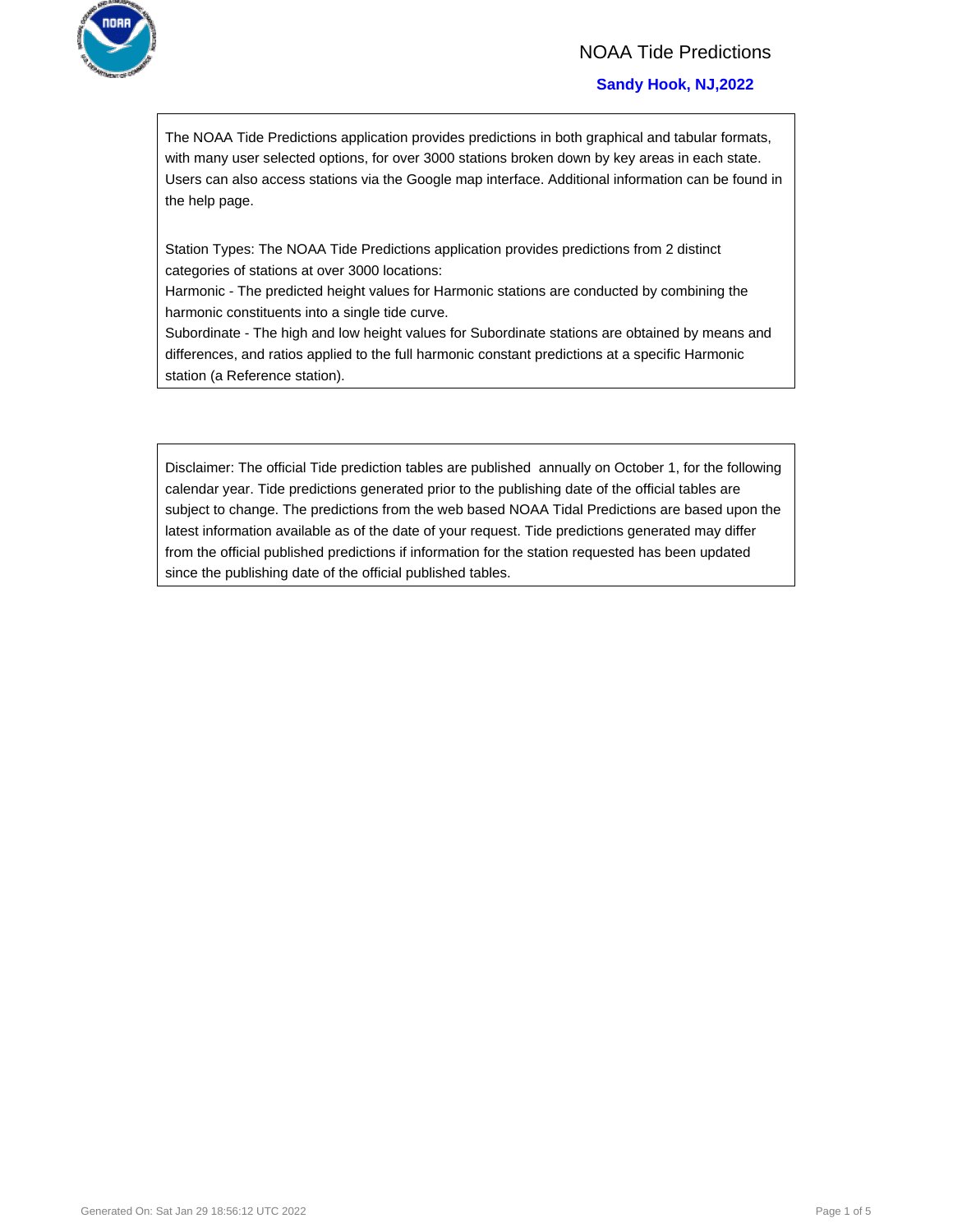

## NOAA Tide Predictions

## **Sandy Hook, NJ,2022**

The NOAA Tide Predictions application provides predictions in both graphical and tabular formats, with many user selected options, for over 3000 stations broken down by key areas in each state. Users can also access stations via the Google map interface. Additional information can be found in the help page.

Station Types: The NOAA Tide Predictions application provides predictions from 2 distinct categories of stations at over 3000 locations:

Harmonic - The predicted height values for Harmonic stations are conducted by combining the harmonic constituents into a single tide curve.

Subordinate - The high and low height values for Subordinate stations are obtained by means and differences, and ratios applied to the full harmonic constant predictions at a specific Harmonic station (a Reference station).

Disclaimer: The official Tide prediction tables are published annually on October 1, for the following calendar year. Tide predictions generated prior to the publishing date of the official tables are subject to change. The predictions from the web based NOAA Tidal Predictions are based upon the latest information available as of the date of your request. Tide predictions generated may differ from the official published predictions if information for the station requested has been updated since the publishing date of the official published tables.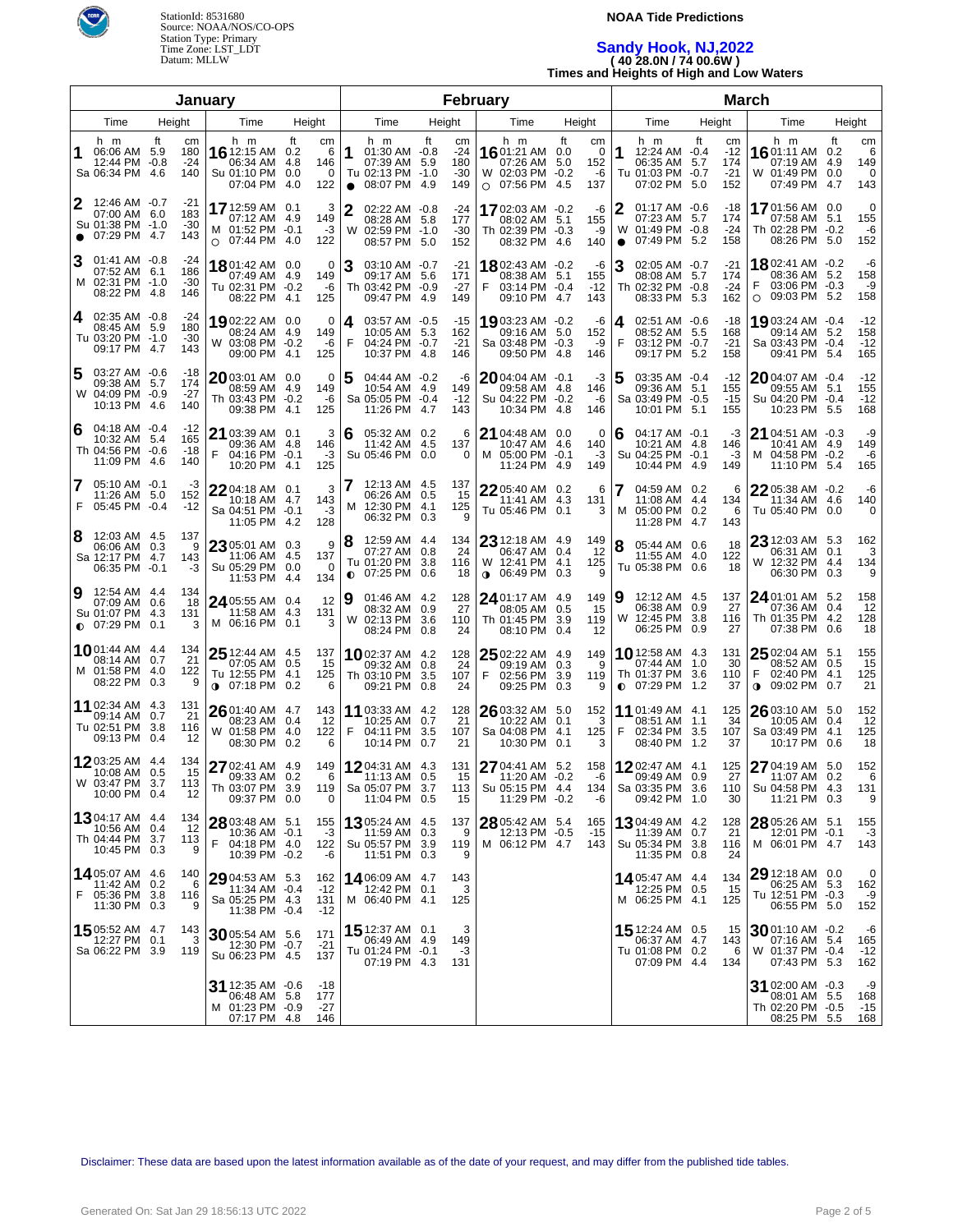

## **NOAA Tide Predictions**

# **Sandy Hook, NJ,2022 ( 40 28.0N / 74 00.6W ) Times and Heights of High and Low Waters**

|                                                                                     |                                 | January                                                                |                                                  |                                                                                        | February                                                |                                                                            |                                                        | <b>March</b>                                                                       |                                        |                                                                                      |                                                              |  |  |
|-------------------------------------------------------------------------------------|---------------------------------|------------------------------------------------------------------------|--------------------------------------------------|----------------------------------------------------------------------------------------|---------------------------------------------------------|----------------------------------------------------------------------------|--------------------------------------------------------|------------------------------------------------------------------------------------|----------------------------------------|--------------------------------------------------------------------------------------|--------------------------------------------------------------|--|--|
| Time<br>Height<br>Time<br>Height                                                    |                                 |                                                                        | Time<br>Height<br>Time                           |                                                                                        | Height                                                  | Time                                                                       | Height                                                 | Time                                                                               | Height                                 |                                                                                      |                                                              |  |  |
| h m<br>06:06 AM 5.9<br>12:44 PM -0.8<br>Sa 06:34 PM 4.6                             | ft<br>cm<br>180<br>$-24$<br>140 | h m<br>16 12:15 AM 0.2<br>06:34 AM<br>Su 01:10 PM 0.0<br>07:04 PM      | ft<br>cm<br>- 6<br>4.8<br>146<br>0<br>122<br>4.0 | h m<br>1<br>$01:30$ AM $-0.8$<br>07:39 AM<br>Tu 02:13 PM -1.0<br>08:07 PM<br>$\bullet$ | ft<br>cm<br>$-24$<br>180<br>5.9<br>$-30$<br>-4.9<br>149 | h m<br>1601:21 AM<br>07:26 AM<br>W 02:03 PM -0.2<br>$O$ 07:56 PM           | ft<br>cm<br>0.0<br>0<br>5.0<br>152<br>-6<br>4.5<br>137 | h m<br>1<br>12:24 AM -0.4<br>06:35 AM 5.7<br>Tu 01:03 PM -0.7<br>07:02 PM 5.0      | ft<br>cm<br>$-12$<br>174<br>-21<br>152 | h m<br>1601:11 AM<br>07:19 AM<br>W 01:49 PM<br>07:49 PM                              | ft<br>cm<br>0.2<br>6<br>149<br>4.9<br>0<br>0.0<br>4.7<br>143 |  |  |
| 2<br>12:46 AM -0.7<br>07:00 AM 6.0<br>Su 01:38 PM -1.0<br>07:29 PM 4.7<br>$\bullet$ | -21<br>183<br>$-30$<br>143      | 17 12:59 AM 0.1<br>07:12 AM 4.9<br>M 01:52 PM -0.1<br>$O$ 07:44 PM 4.0 | 3<br>149<br>-3<br>122                            | 2<br>02:22 AM -0.8<br>08:28 AM 5.8<br>W 02:59 PM -1.0<br>08:57 PM 5.0                  | -24<br>177<br>$-30$<br>152                              | 17 02:03 AM -0.2<br>08:02 AM 5.1<br>Th 02:39 PM -0.3<br>08:32 PM           | -6<br>155<br>-9<br>140<br>4.6                          | 2<br>01:17 AM -0.6<br>07:23 AM 5.7<br>W 01:49 PM -0.8<br>07:49 PM 5.2<br>$\bullet$ | -18<br>174<br>-24<br>158               | 1701:56 AM 0.0<br>07:58 AM 5.1<br>Th 02:28 PM -0.2<br>08:26 PM 5.0                   | $\mathbf 0$<br>155<br>-6<br>152                              |  |  |
| 3<br>01:41 AM -0.8<br>07:52 AM 6.1<br>M 02:31 PM -1.0<br>08:22 PM 4.8               | -24<br>186<br>$-30$<br>146      | 1801:42 AM 0.0<br>07:49 AM 4.9<br>Tu 02:31 PM -0.2<br>08:22 PM 4.1     | 0<br>149<br>-6<br>125                            | 3<br>03:10 AM -0.7<br>09:17 AM 5.6<br>Th 03:42 PM -0.9<br>09:47 PM                     | $-21$<br>171<br>$-27$<br>-4.9<br>149                    | 1802:43 AM -0.2<br>08:38 AM 5.1<br>F<br>03:14 PM -0.4<br>09:10 PM          | -6<br>155<br>$-12$<br>4.7<br>143                       | 3<br>02:05 AM -0.7<br>08:08 AM 5.7<br>Th 02:32 PM -0.8<br>08:33 PM 5.3             | $-21$<br>174<br>$-24$<br>162           | 1802:41 AM -0.2<br>08:36 AM 5.2<br>F<br>03:06 PM -0.3<br>09:03 PM 5.2<br>$\circ$     | -6<br>158<br>-9<br>158                                       |  |  |
| 02:35 AM -0.8<br>4<br>08:45 AM 5.9<br>Tu 03:20 PM -1.0<br>09:17 PM 4.7              | -24<br>180<br>$-30$<br>143      | 1902:22 AM 0.0<br>08:24 AM 4.9<br>W 03:08 PM -0.2<br>09:00 PM 4.1      | 0<br>149<br>-6<br>125                            | 4<br>03:57 AM -0.5<br>10:05 AM 5.3<br>F<br>04:24 PM -0.7<br>10:37 PM                   | $-15$<br>162<br>$-21$<br>-4.8<br>146                    | 19 03:23 AM -0.2<br>09:16 AM 5.0<br>Sa 03:48 PM -0.3<br>09:50 PM           | -6<br>152<br>-9<br>4.8<br>146                          | 4<br>02:51 AM -0.6<br>08:52 AM 5.5<br>F<br>03:12 PM -0.7<br>09:17 PM 5.2           | -18<br>168<br>$-21$<br>158             | 1903:24 AM -0.4<br>09:14 AM 5.2<br>Sa 03:43 PM -0.4<br>09:41 PM 5.4                  | $-12$<br>158<br>$-12$<br>165                                 |  |  |
| 5<br>03:27 AM -0.6<br>09:38 AM 5.7<br>W 04:09 PM -0.9<br>10:13 PM 4.6               | -18<br>174<br>$-27$<br>140      | 2003:01 AM 0.0<br>08:59 AM 4.9<br>Th 03:43 PM -0.2<br>09:38 PM 4.1     | 0<br>149<br>-6<br>125                            | 5<br>04:44 AM -0.2<br>10:54 AM 4.9<br>Sa 05:05 PM -0.4<br>11:26 PM 4.7                 | -6<br>149<br>$-12$<br>143                               | 2004:04 AM -0.1<br>09:58 AM 4.8<br>Su 04:22 PM -0.2<br>10:34 PM            | -3<br>146<br>-6<br>4.8<br>146                          | 5<br>03:35 AM -0.4<br>09:36 AM 5.1<br>Sa 03:49 PM -0.5<br>10:01 PM 5.1             | -12<br>155<br>$-15$<br>155             | 2004:07 AM -0.4<br>09:55 AM 5.1<br>Su 04:20 PM -0.4<br>10:23 PM 5.5                  | $-12$<br>155<br>$-12$<br>168                                 |  |  |
| 04:18 AM -0.4<br>6<br>10:32 AM 5.4<br>Th 04:56 PM -0.6<br>11:09 PM 4.6              | -12<br>165<br>$-18$<br>140      | 21 03:39 AM 0.1<br>09:36 AM 4.8<br>F<br>04:16 PM -0.1<br>10:20 PM 4.1  | 3<br>146<br>$-3$<br>125                          | 05:32 AM 0.2<br>6<br>11:42 AM 4.5<br>Su 05:46 PM 0.0                                   | 6<br>137<br>0                                           | 21 04:48 AM 0.0<br>10:47 AM 4.6<br>M 05:00 PM -0.1<br>11:24 PM             | 0<br>140<br>-3<br>4.9<br>149                           | 04:17 AM -0.1<br>6<br>10:21 AM 4.8<br>Su 04:25 PM -0.1<br>10:44 PM 4.9             | -3<br>146<br>$-3$<br>149               | 21 04:51 AM -0.3<br>10:41 AM 4.9<br>M 04:58 PM -0.2<br>11:10 PM 5.4                  | -9<br>149<br>-6<br>165                                       |  |  |
| 7<br>$05:10$ AM $-0.1$<br>11:26 AM 5.0<br>F<br>05:45 PM -0.4                        | -3<br>152<br>$-12$              | 22 04:18 AM 0.1<br>10:18 AM 4.7<br>Sa 04:51 PM -0.1<br>11:05 PM 4.2    | 3<br>143<br>$-3$<br>128                          | 12:13 AM 4.5<br>06:26 AM 0.5<br>M 12:30 PM 4.1<br>06:32 PM 0.3                         | 137<br>15<br>125<br>9                                   | 22 05:40 AM 0.2<br>11:41 AM 4.3<br>Tu 05:46 PM 0.1                         | 6<br>131<br>3                                          | 7<br>04:59 AM 0.2<br>11:08 AM 4.4<br>05:00 PM 0.2<br>M<br>11:28 PM 4.7             | 6<br>134<br>6<br>143                   | 2205:38 AM -0.2<br>11:34 AM 4.6<br>Tu 05:40 PM 0.0                                   | -6<br>140<br>0                                               |  |  |
| 8<br>12:03 AM 4.5<br>06:06 AM 0.3<br>Sa 12:17 PM 4.7<br>06:35 PM -0.1               | 137<br>9<br>143<br>-3           | 23 05:01 AM 0.3<br>11:06 AM 4.5<br>Su 05:29 PM 0.0<br>11:53 PM         | 9<br>137<br>$\overline{0}$<br>134<br>4.4         | 12:59 AM 4.4<br>8<br>07:27 AM 0.8<br>Tu 01:20 PM<br>$0$ 07:25 PM 0.6                   | 134<br>24<br>3.8<br>116<br>18                           | 23 12:18 AM 4.9<br>06:47 AM 0.4<br>W 12:41 PM 4.1<br><b>0</b> 06:49 PM 0.3 | 149<br>12<br>125<br>9                                  | 8<br>05:44 AM 0.6<br>11:55 AM 4.0<br>Tu 05:38 PM 0.6                               | 18<br>122<br>18                        | $23$ 12:03 AM 5.3<br>06:31 AM 0.1<br>W 12:32 PM 4.4<br>06:30 PM 0.3                  | 162<br>3<br>134<br>9                                         |  |  |
| 9<br>12:54 AM 4.4<br>07:09 AM 0.6<br>Su 01:07 PM 4.3<br>$\bullet$ 07:29 PM 0.1      | 134<br>18<br>131<br>3           | 24 05:55 AM 0.4<br>11:58 AM 4.3<br>M 06:16 PM 0.1                      | 12<br>131<br>3                                   | 9<br>01:46 AM 4.2<br>08:32 AM 0.9<br>W 02:13 PM 3.6<br>08:24 PM 0.8                    | 128<br>27<br>110<br>24                                  | 24 01:17 AM 4.9<br>08:05 AM<br>Th 01:45 PM 3.9<br>08:10 PM 0.4             | 149<br>0.5<br>15<br>119<br>-12                         | 12:12 AM 4.5<br>9<br>06:38 AM 0.9<br>W 12:45 PM 3.8<br>06:25 PM 0.9                | 137<br>27<br>116<br>27                 | 24 01:01 AM 5.2<br>07:36 AM 0.4<br>Th 01:35 PM 4.2<br>07:38 PM 0.6                   | 158<br>12<br>128<br>18                                       |  |  |
| <b>10</b> 01:44 AM 4.4<br>08:14 AM 0.7<br>M 01:58 PM 4.0<br>08:22 PM 0.3            | 134<br>21<br>122<br>9           | 25 12:44 AM 4.5<br>07:05 AM 0.5<br>Tu 12:55 PM 4.1<br>∩ 07:18 PM 0.2   | 137<br>15<br>125<br>6                            | <b>10</b> 02:37 AM 4.2<br>09:32 AM 0.8<br>Th 03:10 PM 3.5<br>09:21 PM 0.8              | 128<br>24<br>107<br>24                                  | 25 02:22 AM 4.9<br>09:19 AM 0.3<br>F<br>02:56 PM<br>09:25 PM 0.3           | 149<br>9<br>3.9<br>119<br>9                            | <b>10</b> 12:58 AM 4.3<br>07:44 AM 1.0<br>Th 01:37 PM 3.6<br>$O$ 07:29 PM 1.2      | 131<br>30<br>110<br>37                 | $2502:04$ AM $5.1$<br>08:52 AM 0.5<br>F<br>02:40 PM 4.1<br>09:02 PM 0.7<br>$\bullet$ | 155<br>15<br>125<br>21                                       |  |  |
| <b>11</b> 02:34 AM 4.3<br>09:14 AM 0.7<br>Tu 02:51 PM<br>09:13 PM 0.4               | 131<br>21<br>3.8<br>116<br>12   | 26 01:40 AM 4.7<br>08:23 AM 0.4<br>W 01:58 PM 4.0<br>08:30 PM 0.2      | 143<br>12<br>122<br>6                            | 11 03:33 AM 4.2<br>10:25 AM 0.7<br>F<br>04:11 PM 3.5<br>10:14 PM 0.7                   | 128<br>21<br>107<br>21                                  | 26 03:32 AM 5.0<br>10:22 AM 0.1<br>Sa 04:08 PM 4.1<br>10:30 PM 0.1         | 152<br>3<br>125<br>3                                   | 11 01:49 AM 4.1<br>08:51 AM 1.1<br>F<br>02:34 PM 3.5<br>08:40 PM 1.2               | 125<br>34<br>107<br>37                 | 26 03:10 AM 5.0<br>10:05 AM 0.4<br>Sa 03:49 PM 4.1<br>10:17 PM 0.6                   | 152<br>12<br>125<br>18                                       |  |  |
| 1203:25 AM 4.4<br>10:08 AM 0.5<br>W 03:47 PM 3.7<br>10:00 PM 0.4                    | 134<br>15<br>113<br>12          | 27 02:41 AM 4.9<br>09:33 AM 0.2<br>Th 03:07 PM 3.9<br>09:37 PM 0.0     | 6<br>119<br>0                                    | 149 1204:31 AM 4.3<br>Sa 05:07 PM 3.7<br>11:04 PM 0.5                                  | 131<br>15<br>113<br>15                                  | 27 04:41 AM 5.2<br>11:20 AM -0.2<br>Su 05:15 PM 4.4<br>11:29 PM -0.2       | 158<br>$-6$<br>134<br>-6                               | 1202:47 AM 4.1<br>09:49 AM 0.9<br>Sa 03:35 PM 3.6<br>09:42 PM 1.0                  | 125<br>27<br>110<br>30                 | 27 04:19 AM 5.0<br>11:07 AM 0.2<br>Su 04:58 PM 4.3<br>11:21 PM 0.3                   | 152<br>6<br>131<br>9                                         |  |  |
| <b>13</b> 04:17 AM 4.4<br>10:56 AM 0.4<br>Th 04:44 PM 3.7<br>10:45 PM 0.3           | 134<br>12<br>113<br>9           | 28 03:48 AM 5.1<br>10:36 AM -0.1<br>F<br>04:18 PM 4.0<br>10:39 PM -0.2 | 155<br>$-3$<br>122<br>-6                         | <b>13</b> 05:24 AM 4.5<br>11:59 AM 0.3<br>Su 05:57 PM 3.9<br>11:51 PM 0.3              | 137<br>9<br>119<br>9                                    | 28 05:42 AM 5.4<br>12:13 PM -0.5<br>M 06:12 PM 4.7                         | 165<br>$-15$<br>143                                    | <b>13</b> 04:49 AM 4.2<br>11:39 AM 0.7<br>Su 05:34 PM 3.8<br>11:35 PM 0.8          | 128<br>21<br>116<br>24                 | 28 05:26 AM 5.1<br>12:01 PM -0.1<br>M 06:01 PM 4.7                                   | 155<br>$-3$<br>143                                           |  |  |
| 1405:07 AM 4.6<br>11:42 AM 0.2<br>F<br>05:36 PM 3.8<br>11:30 PM 0.3                 | 140<br>6<br>116<br>9            | 29 04:53 AM 5.3<br>11:34 AM -0.4<br>Sa 05:25 PM 4.3<br>11:38 PM -0.4   | 162<br>$-12$<br>131<br>$-12$                     | 14 06:09 AM 4.7<br>12:42 PM 0.1<br>M 06:40 PM 4.1                                      | 143<br>3<br>125                                         |                                                                            |                                                        | <b>14.</b> 05:47 AM 4.4<br>12:25 PM 0.5<br>M 06:25 PM 4.1                          | 134<br>-15<br>125                      | 29 12:18 AM 0.0<br>06:25 AM 5.3<br>Tu 12:51 PM -0.3<br>06:55 PM 5.0                  | 0<br>162<br>-9<br>152                                        |  |  |
| 15 05:52 AM 4.7<br>12:27 PM 0.1<br>Sa 06:22 PM 3.9                                  | 143<br>3<br>119                 | 30 05:54 AM 5.6<br>12:30 PM -0.7<br>Su 06:23 PM 4.5                    | 171<br>$-21$<br>137                              | 15 12:37 AM 0.1<br>06:49 AM 4.9<br>Tu 01:24 PM -0.1<br>07:19 PM 4.3                    | 3<br>149<br>-3<br>131                                   |                                                                            |                                                        | 15 12:24 AM 0.5<br>06:37 AM 4.7<br>Tu 01:08 PM 0.2<br>07:09 PM 4.4                 | 15<br>143<br>6<br>134                  | $3001:10$ AM $-0.2$<br>07:16 AM 5.4<br>W 01:37 PM -0.4<br>07:43 PM 5.3               | -6<br>165<br>$-12$<br>162                                    |  |  |
|                                                                                     |                                 | 31 12:35 AM -0.6<br>06:48 AM 5.8<br>M 01:23 PM -0.9<br>07:17 PM 4.8    | -18<br>177<br>-27<br>146                         |                                                                                        |                                                         |                                                                            |                                                        |                                                                                    |                                        | 31 02:00 AM -0.3<br>08:01 AM 5.5<br>Th 02:20 PM -0.5<br>08:25 PM 5.5                 | -9<br>168<br>$-15$<br>168                                    |  |  |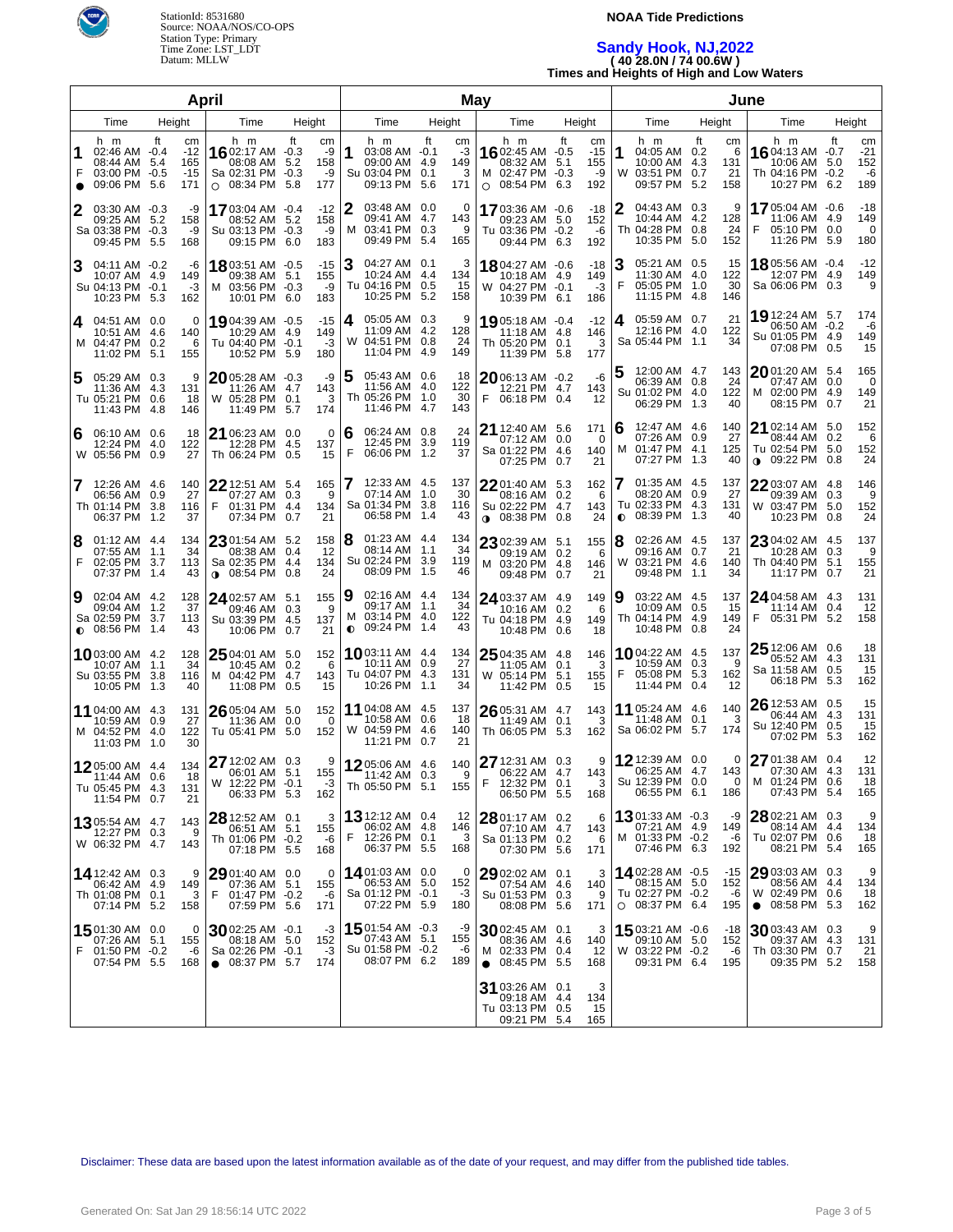

### **NOAA Tide Predictions**

# **Sandy Hook, NJ,2022 ( 40 28.0N / 74 00.6W ) Times and Heights of High and Low Waters**

| April                                                                                                                                                                                                                                                    | May                                                                                                               |                                                                                                                                     | June                                                                                                                     |                                                                                                                     |  |  |  |  |
|----------------------------------------------------------------------------------------------------------------------------------------------------------------------------------------------------------------------------------------------------------|-------------------------------------------------------------------------------------------------------------------|-------------------------------------------------------------------------------------------------------------------------------------|--------------------------------------------------------------------------------------------------------------------------|---------------------------------------------------------------------------------------------------------------------|--|--|--|--|
| Time<br>Height<br>Time<br>Height                                                                                                                                                                                                                         | Time<br>Height                                                                                                    | Time<br>Height                                                                                                                      | Time<br>Height                                                                                                           | Time<br>Height                                                                                                      |  |  |  |  |
| h m<br>ft<br>h m<br>ft<br>cm<br>cm<br>16 02:17 AM $-0.3$<br>02:46 AM -0.4<br>$-12$<br>-9<br>08:44 AM 5.4<br>165<br>08:08 AM 5.2<br>158<br>F<br>03:00 PM -0.5<br>$-15$<br>Sa 02:31 PM -0.3<br>-9<br>09:06 PM<br>5.6<br>$O$ 08:34 PM<br>171<br>-5.8<br>177 | h m<br>ft<br>cm<br>1<br>03:08 AM -0.1<br>-3<br>149<br>09:00 AM 4.9<br>Su 03:04 PM 0.1<br>3<br>09:13 PM 5.6<br>171 | h m<br>ft<br>cm<br>1602:45 AM -0.5<br>$-15$<br>08:32 AM<br>5.1<br>155<br>M 02:47 PM -0.3<br>-9<br>08:54 PM<br>192<br>6.3<br>$\circ$ | h m<br>ft<br>cm<br>1<br>04:05 AM 0.2<br>6<br>10:00 AM 4.3<br>131<br>W<br>03:51 PM<br>0.7<br>21<br>09:57 PM<br>5.2<br>158 | h m<br>ft<br>cm<br>1604:13 AM -0.7<br>$-21$<br>10:06 AM 5.0<br>152<br>Th 04:16 PM -0.2<br>-6<br>10:27 PM 6.2<br>189 |  |  |  |  |
| 2<br>03:30 AM -0.3<br>-9<br><b>17</b> 03:04 AM -0.4<br>$-12$<br>158<br>09:25 AM 5.2<br>158<br>08:52 AM 5.2<br>Sa 03:38 PM -0.3<br>Su 03:13 PM -0.3<br>-9<br>-9<br>09:45 PM 5.5<br>09:15 PM 6.0<br>183<br>168                                             | 2<br>03:48 AM 0.0<br>0<br>09:41 AM 4.7<br>143<br>М<br>03:41 PM 0.3<br>9<br>09:49 PM 5.4<br>165                    | 17 03:36 AM -0.6<br>-18<br>152<br>09:23 AM 5.0<br>Tu 03:36 PM -0.2<br>-6<br>09:44 PM 6.3<br>192                                     | 2<br>04:43 AM 0.3<br>9<br>10:44 AM 4.2<br>128<br>Th 04:28 PM 0.8<br>24<br>10:35 PM<br>5.0<br>152                         | 1705:04 AM -0.6<br>$-18$<br>149<br>11:06 AM 4.9<br>F<br>05:10 PM 0.0<br>0<br>11:26 PM 5.9<br>180                    |  |  |  |  |
| 3<br>04:11 AM -0.2<br>1803:51 AM -0.5<br>$-15$<br>-6<br>155<br>10:07 AM 4.9<br>149<br>09:38 AM 5.1<br>Su 04:13 PM -0.1<br>M 03:56 PM -0.3<br>-9<br>-3<br>10:01 PM 6.0<br>183<br>10:23 PM 5.3<br>162                                                      | 3<br>04:27 AM 0.1<br>3<br>10:24 AM 4.4<br>134<br>Tu 04:16 PM 0.5<br>15<br>10:25 PM 5.2<br>158                     | 1804:27 AM -0.6<br>$-18$<br>10:18 AM 4.9<br>149<br>W 04:27 PM -0.1<br>$-3$<br>10:39 PM 6.1<br>186                                   | 3<br>05:21 AM 0.5<br>15<br>11:30 AM 4.0<br>122<br>F<br>05:05 PM 1.0<br>30<br>11:15 PM 4.8<br>146                         | $-12$<br>18 05:56 AM -0.4<br>12:07 PM 4.9<br>149<br>9<br>Sa 06:06 PM 0.3                                            |  |  |  |  |
| 04:51 AM 0.0<br>19 04:39 AM -0.5<br>$-15$<br>0<br>4<br>149<br>10:51 AM 4.6<br>140<br>10:29 AM 4.9<br>M 04:47 PM 0.2<br>Tu 04:40 PM -0.1<br>$-3$<br>6<br>11:02 PM<br>180<br>-5.1<br>155<br>10:52 PM 5.9                                                   | 4<br>05:05 AM 0.3<br>9<br>11:09 AM 4.2<br>128<br>W 04:51 PM 0.8<br>24<br>11:04 PM 4.9<br>149                      | 19 05:18 AM -0.4<br>$-12$<br>146<br>11:18 AM 4.8<br>Th 05:20 PM 0.1<br>3<br>11:39 PM 5.8<br>177                                     | 05:59 AM 0.7<br>21<br>4<br>12:16 PM 4.0<br>122<br>Sa 05:44 PM 1.1<br>34                                                  | 19 12:24 AM 5.7<br>174<br>06:50 AM -0.2<br>-6<br>149<br>Su 01:05 PM 4.9<br>07:08 PM 0.5<br>15                       |  |  |  |  |
| 5<br>05:29 AM 0.3<br>9<br>2005:28 AM -0.3<br>-9<br>11:36 AM 4.3<br>131<br>11:26 AM 4.7<br>143<br>Tu 05:21 PM 0.6<br>W 05:28 PM 0.1<br>18<br>3<br>11:43 PM<br>11:49 PM<br>174<br>-4.8<br>146<br>5.7                                                       | 05:43 AM 0.6<br>18<br>11:56 AM 4.0<br>122<br>Th 05:26 PM 1.0<br>30<br>11:46 PM 4.7<br>143                         | -6<br>2006:13 AM -0.2<br>12:21 PM 4.7<br>143<br>F<br>06:18 PM 0.4<br>12                                                             | 12:00 AM 4.7<br>5<br>143<br>06:39 AM 0.8<br>24<br>122<br>Su 01:02 PM 4.0<br>06:29 PM 1.3<br>40                           | 2001:20 AM 5.4<br>165<br>07:47 AM 0.0<br>0<br>149<br>M 02:00 PM 4.9<br>08:15 PM 0.7<br>21                           |  |  |  |  |
| 06:10 AM 0.6<br>18<br>21 06:23 AM 0.0<br>$\Omega$<br>6<br>12:24 PM 4.0<br>122<br>12:28 PM 4.5<br>137<br>W 05:56 PM<br>0.9<br>27<br>Th 06:24 PM<br>15<br>0.5                                                                                              | 24<br>6<br>06:24 AM 0.8<br>12:45 PM 3.9<br>119<br>F<br>06:06 PM 1.2<br>37                                         | 21 12:40 AM 5.6<br>171<br>07:12 AM 0.0<br>$\Omega$<br>Sa 01:22 PM 4.6<br>140<br>07:25 PM 0.7<br>21                                  | 12:47 AM 4.6<br>6<br>140<br>07:26 AM<br>0.9<br>27<br>M 01:47 PM 4.1<br>125<br>07:27 PM 1.3<br>40                         | 21 02:14 AM 5.0<br>152<br>08:44 AM 0.2<br>6<br>152<br>Tu 02:54 PM 5.0<br>$0.09:22 \text{ PM}$ 0.8<br>24             |  |  |  |  |
| 7<br>12:26 AM 4.6<br>140<br>22 12:51 AM 5.4<br>165<br>27<br>06:56 AM 0.9<br>07:27 AM 0.3<br>9<br>Th 01:14 PM 3.8<br>F<br>01:31 PM 4.4<br>116<br>134<br>06:37 PM 1.2<br>07:34 PM 0.7<br>21<br>37                                                          | 7<br>12:33 AM 4.5<br>137<br>07:14 AM 1.0<br>30<br>Sa 01:34 PM 3.8<br>116<br>06:58 PM 1.4<br>43                    | 22 01:40 AM 5.3<br>162<br>08:16 AM 0.2<br>6<br>Su 02:22 PM 4.7<br>143<br>24<br><b>0</b> 08:38 PM 0.8                                | 01:35 AM 4.5<br>137<br>7<br>08:20 AM 0.9<br>27<br>Tu 02:33 PM 4.3<br>131<br>$\bullet$ 08:39 PM 1.3<br>40                 | 22 03:07 AM 4.8<br>146<br>09:39 AM 0.3<br>9<br>W 03:47 PM 5.0<br>152<br>10:23 PM 0.8<br>24                          |  |  |  |  |
| 8<br>01:12 AM 4.4<br>134<br>2301:54 AM 5.2<br>158<br>12<br>07:55 AM 1.1<br>34<br>08:38 AM 0.4<br>F<br>02:05 PM 3.7<br>113<br>Sa 02:35 PM 4.4<br>134<br>07:37 PM 1.4<br>24<br>43<br>$\bullet$ 08:54 PM 0.8                                                | 01:23 AM 4.4<br>8<br>134<br>34<br>08:14 AM 1.1<br>Su 02:24 PM 3.9<br>119<br>08:09 PM 1.5<br>46                    | 23 02:39 AM 5.1<br>155<br>09:19 AM 0.2<br>-6<br>M 03:20 PM 4.8<br>146<br>09:48 PM 0.7<br>21                                         | 8<br>02:26 AM 4.5<br>137<br>09:16 AM 0.7<br>21<br>03:21 PM 4.6<br>W<br>140<br>09:48 PM 1.1<br>34                         | 23 04:02 AM 4.5<br>137<br>10:28 AM 0.3<br>9<br>Th 04:40 PM 5.1<br>155<br>21<br>11:17 PM 0.7                         |  |  |  |  |
| 9<br>02:04 AM 4.2<br>128<br>24 02:57 AM 5.1<br>155<br>37<br>09:04 AM 1.2<br>09:46 AM 0.3<br>- 9<br>Sa 02:59 PM 3.7<br>113<br>Su 03:39 PM 4.5<br>137<br>$\bullet$ 08:56 PM 1.4<br>43<br>21<br>10:06 PM 0.7                                                | 02:16 AM 4.4<br>19<br>134<br>34<br>09:17 AM 1.1<br>03:14 PM 4.0<br>122<br>м<br>$0$ 09:24 PM 1.4<br>43             | 24 03:37 AM 4.9<br>149<br>10:16 AM 0.2<br>6<br>Tu 04:18 PM 4.9<br>149<br>10:48 PM 0.6<br>18                                         | 03:22 AM 4.5<br>137<br>9<br>10:09 AM<br>0.5<br>15<br>Th 04:14 PM 4.9<br>149<br>10:48 PM 0.8<br>24                        | 24 04:58 AM 4.3<br>131<br>11:14 AM 0.4<br>12<br>F<br>05:31 PM 5.2<br>158                                            |  |  |  |  |
| 25 04:01 AM 5.0<br>10 03:00 AM 4.2<br>128<br>152<br>34<br>- 6<br>10:07 AM 1.1<br>10:45 AM 0.2<br>Su 03:55 PM<br>M 04:42 PM 4.7<br>-3.8<br>116<br>143<br>15<br>10:05 PM 1.3<br>40<br>11:08 PM 0.5                                                         | 1003:11 AM 4.4<br>134<br>27<br>10:11 AM 0.9<br>Tu 04:07 PM 4.3<br>131<br>10:26 PM 1.1<br>34                       | 25 04:35 AM 4.8<br>146<br>11:05 AM 0.1<br>3<br>W 05:14 PM 5.1<br>155<br>11:42 PM 0.5<br>15                                          | 1004:22 AM 4.5<br>137<br>10:59 AM 0.3<br>9<br>F<br>05:08 PM 5.3<br>162<br>11:44 PM 0.4<br>12                             | 25 12:06 AM 0.6<br>18<br>05:52 AM 4.3<br>131<br>15<br>Sa 11:58 AM 0.5<br>06:18 PM 5.3<br>162                        |  |  |  |  |
| 26 05:04 AM 5.0<br>11 04:00 AM 4.3<br>152<br>131<br>27<br>10:59 AM 0.9<br>11:36 AM 0.0<br>$\overline{\mathbf{0}}$<br>M 04:52 PM 4.0<br>Tu 05:41 PM 5.0<br>122<br>152<br>11:03 PM 1.0<br>30                                                               | 11 04:08 AM 4.5<br>137<br>10:58 AM 0.6<br>18<br>W 04:59 PM 4.6<br>140<br>11:21 PM 0.7<br>21                       | 26 05:31 AM 4.7<br>143<br>0.1<br>3<br>11:49 AM<br>Th 06:05 PM 5.3<br>162                                                            | 11 05:24 AM 4.6<br>140<br>11:48 AM 0.1<br>3<br>Sa 06:02 PM 5.7<br>174                                                    | 26 12:53 AM 0.5<br>15<br>06:44 AM 4.3<br>131<br>Su 12:40 PM 0.5<br>15<br>07:02 PM 5.3<br>162                        |  |  |  |  |
| 27 12:02 AM 0.3<br>9<br>1205:00 AM 4.4<br>134<br>06:01 AM 5.1<br>155<br>18<br>11:44 AM 0.6<br>W 12:22 PM -0.1<br>-3<br>Tu 05:45 PM 4.3<br>131<br>06:33 PM 5.3<br>162<br>11:54 PM 0.7<br>21                                                               | 1205:06 AM 4.6<br>140<br>9<br>11:42 AM 0.3<br>Th 05:50 PM 5.1<br>155                                              | 27 12:31 AM 0.3<br>9<br>06:22 AM 4.7<br>143<br>12:32 PM 0.1<br>3<br>F.<br>06:50 PM 5.5<br>168                                       | 12 12:39 AM 0.0<br>0<br>06:25 AM 4.7<br>143<br>Su 12:39 PM 0.0<br>$\overline{\phantom{0}}$<br>06:55 PM 6.1<br>186        | 27 01:38 AM 0.4<br>12<br>07:30 AM 4.3<br>131<br>M 01:24 PM 0.6<br>18<br>07:43 PM 5.4<br>165                         |  |  |  |  |
| 28 12:52 AM 0.1<br>3<br><b>13</b> 05:54 AM 4.7<br>143<br>06:51 AM 5.1<br>155<br>12:27 PM 0.3<br>9<br>Th 01:06 PM -0.2<br>-6<br>W 06:32 PM 4.7<br>143<br>07:18 PM 5.5<br>168                                                                              | 13 12:12 AM 0.4<br>12<br>06:02 AM 4.8<br>146<br>F<br>12:26 PM 0.1<br>3<br>06:37 PM 5.5<br>168                     | 28 01:17 AM 0.2<br>6<br>07:10 AM 4.7<br>143<br>Sa 01:13 PM 0.2<br>6<br>07:30 PM 5.6<br>171                                          | 1301:33 AM $-0.3$<br>-9<br>07:21 AM 4.9<br>149<br>M 01:33 PM -0.2<br>-6<br>07:46 PM 6.3<br>192                           | 28 02:21 AM 0.3<br>9<br>08:14 AM 4.4<br>134<br>Tu 02:07 PM 0.6<br>18<br>08:21 PM 5.4<br>165                         |  |  |  |  |
| 29 01:40 AM 0.0<br>14 12:42 AM 0.3<br>9<br>0<br>06:42 AM 4.9<br>07:36 AM 5.1<br>155<br>149<br>Th 01:08 PM 0.1<br>3<br>F<br>01:47 PM -0.2<br>-6<br>07:14 PM 5.2<br>07:59 PM 5.6<br>171<br>158                                                             | 1401:03 AM 0.0<br>0<br>06:53 AM 5.0<br>152<br>Sa 01:12 PM -0.1<br>-3<br>07:22 PM 5.9<br>180                       | 29 02:02 AM 0.1<br>3<br>07:54 AM 4.6<br>140<br>Su 01:53 PM 0.3<br>9<br>08:08 PM 5.6<br>171                                          | 1402:28 AM -0.5<br>-15<br>08:15 AM 5.0<br>152<br>Tu 02:27 PM -0.2<br>-6<br>$O$ 08:37 PM 6.4<br>195                       | 29 03:03 AM 0.3<br>9<br>08:56 AM 4.4<br>134<br>W 02:49 PM 0.6<br>18<br>$\bullet$ 08:58 PM 5.3<br>162                |  |  |  |  |
| 15 01:30 AM 0.0<br>$30$ 02:25 AM $\,$ -0.1 $\,$<br>-3<br>0<br>07:26 AM 5.1<br>08:18 AM 5.0<br>152<br>155<br>F<br>01:50 PM -0.2<br>Sa 02:26 PM -0.1<br>-3<br>-6<br>07:54 PM 5.5<br>168<br>$\bullet$ 08:37 PM 5.7<br>174                                   | 1501:54 AM -0.3<br>-9<br>07:43 AM 5.1<br>155<br>Su 01:58 PM -0.2<br>-6<br>08:07 PM 6.2<br>189                     | 30 02:45 AM 0.1<br>3<br>08:36 AM 4.6<br>140<br>M 02:33 PM 0.4<br>-12<br>$\bullet$ 08:45 PM 5.5<br>168                               | 1503:21 AM -0.6<br>-18<br>09:10 AM 5.0<br>152<br>W 03:22 PM -0.2<br>-6<br>09:31 PM 6.4<br>195                            | $3003:43$ AM 0.3<br>9<br>09:37 AM 4.3<br>131<br>Th 03:30 PM 0.7<br>21<br>09:35 PM 5.2<br>158                        |  |  |  |  |
|                                                                                                                                                                                                                                                          |                                                                                                                   | 31 03:26 AM 0.1<br>3<br>134<br>09:18 AM 4.4<br>Tu 03:13 PM 0.5<br>15<br>09:21 PM 5.4<br>165                                         |                                                                                                                          |                                                                                                                     |  |  |  |  |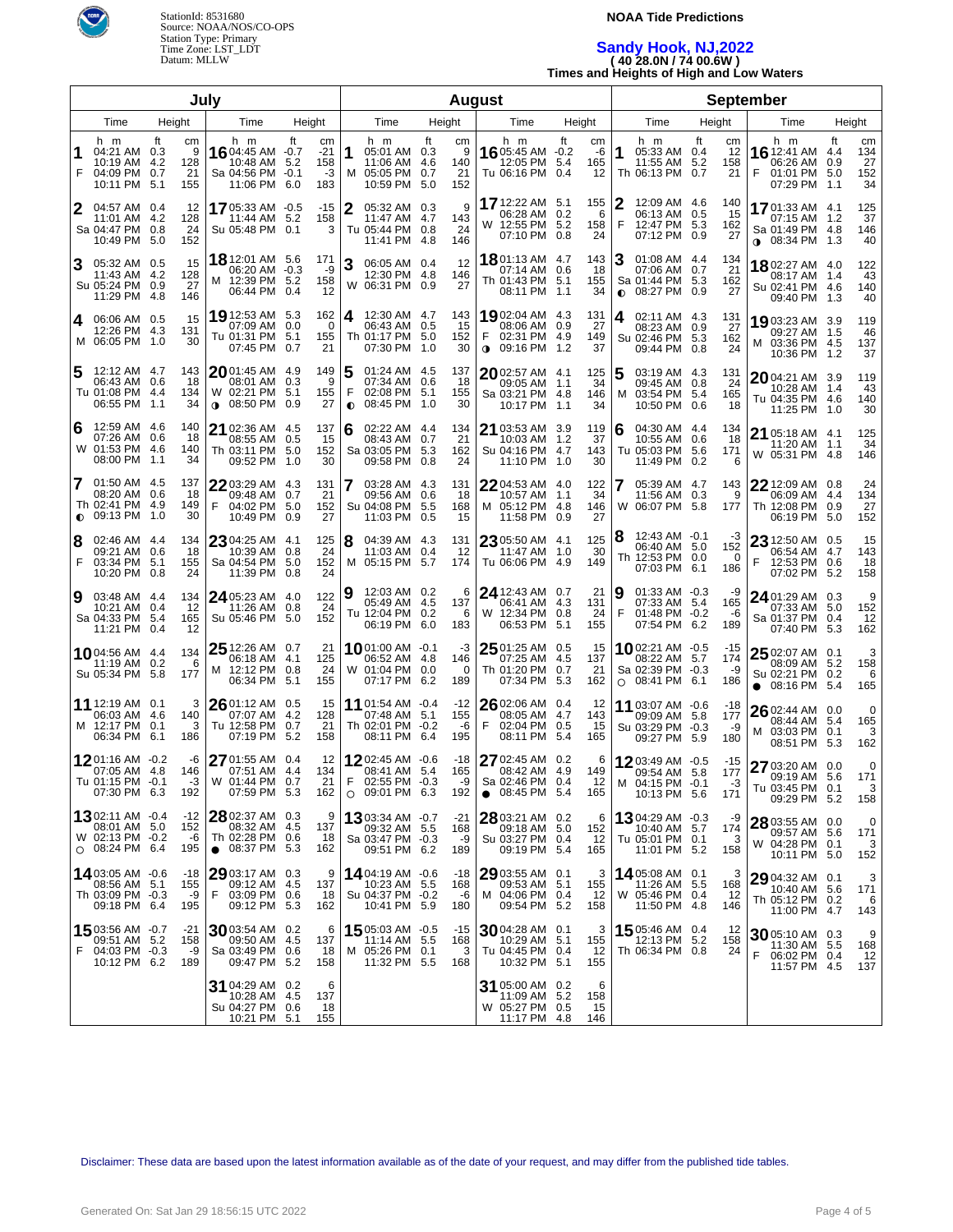

## **NOAA Tide Predictions**

# **Sandy Hook, NJ,2022 ( 40 28.0N / 74 00.6W )**

**Times and Heights of High and Low Waters**

| July   |                                                                           |              |                             |                                                                               |           | <b>August</b>                     |                     |                                                                               |           |                              |   | <b>September</b>                                                         |                  |                        |        |                                                                                       |                  |                              |                                                                               |    |                              |
|--------|---------------------------------------------------------------------------|--------------|-----------------------------|-------------------------------------------------------------------------------|-----------|-----------------------------------|---------------------|-------------------------------------------------------------------------------|-----------|------------------------------|---|--------------------------------------------------------------------------|------------------|------------------------|--------|---------------------------------------------------------------------------------------|------------------|------------------------------|-------------------------------------------------------------------------------|----|------------------------------|
|        | Time                                                                      | Height       |                             | Time                                                                          |           | Height                            |                     | Time                                                                          |           | Height                       |   | Time                                                                     |                  | Height                 |        | Time                                                                                  |                  | Height                       | Time                                                                          |    | Height                       |
| 1<br>F | h m<br>04:21 AM 0.3<br>10:19 AM 4.2<br>04:09 PM 0.7<br>10:11 PM           | Ħ<br>5.1     | cm<br>9<br>128<br>21<br>155 | h m<br>16 04:45 AM -0.7<br>10:48 AM 5.2<br>Sa 04:56 PM -0.1<br>11:06 PM       | ft<br>6.0 | cm<br>$-21$<br>158<br>$-3$<br>183 | 1<br>м              | h m<br>05:01 AM 0.3<br>11:06 AM 4.6<br>05:05 PM 0.7<br>10:59 PM               | ft<br>5.0 | сm<br>9<br>140<br>21<br>152  |   | h m<br>16 05:45 AM -0.2<br>12:05 PM<br>Tu 06:16 PM                       | ft<br>5.4<br>0.4 | cm<br>-6<br>165<br>12  | 1      | h m<br>05:33 AM 0.4<br>11:55 AM<br>Th 06:13 PM                                        | Ħ.<br>5.2<br>0.7 | cm<br>12<br>158<br>21        | h m<br>16 12:41 AM 4.4<br>06:26 AM 0.9<br>F<br>01:01 PM 5.0<br>07:29 PM 1.1   | ft | cm<br>134<br>27<br>152<br>34 |
| 2      | 04:57 AM 0.4<br>11:01 AM<br>Sa 04:47 PM 0.8<br>10:49 PM                   | -4.2<br>-5.0 | 12<br>128<br>24<br>152      | 1705:33 AM -0.5<br>11:44 AM 5.2<br>Su 05:48 PM 0.1                            |           | $-15$<br>158<br>3                 | 2                   | 05:32 AM 0.3<br>11:47 AM 4.7<br>Tu 05:44 PM 0.8<br>11:41 PM 4.8               |           | 9<br>143<br>24<br>146        |   | 17 12:22 AM 5.1<br>06:28 AM 0.2<br>W 12:55 PM 5.2<br>07:10 PM 0.8        |                  | 155<br>-6<br>158<br>24 | 2<br>F | 12:09 AM 4.6<br>06:13 AM<br>12:47 PM 5.3<br>07:12 PM 0.9                              | 0.5              | 140<br>15<br>162<br>27       | 1701:33 AM 4.1<br>07:15 AM 1.2<br>Sa 01:49 PM 4.8<br>$\bullet$ 08:34 PM 1.3   |    | 125<br>37<br>146<br>40       |
| 3      | 05:32 AM 0.5<br>11:43 AM 4.2<br>Su 05:24 PM 0.9<br>11:29 PM 4.8           |              | 15<br>128<br>27<br>146      | <b>18</b> 12:01 AM 5.6<br>06:20 AM -0.3<br>M 12:39 PM 5.2<br>06:44 PM 0.4     |           | 171<br>-9<br>158<br>12            | 3                   | 06:05 AM 0.4<br>12:30 PM 4.8<br>W 06:31 PM 0.9                                |           | 12<br>146<br>27              |   | 1801:13 AM 4.7<br>07:14 AM 0.6<br>Th 01:43 PM 5.1<br>08:11 PM 1.1        |                  | 143<br>18<br>155<br>34 | 3      | 01:08 AM 4.4<br>07:06 AM<br>Sa 01:44 PM 5.3<br>$\bullet$ 08:27 PM 0.9                 | 0.7              | 134<br>21<br>162<br>27       | 1802:27 AM 4.0<br>08:17 AM 1.4<br>Su 02:41 PM 4.6<br>09:40 PM 1.3             |    | 122<br>43<br>140<br>40       |
| 4      | 06:06 AM 0.5<br>12:26 PM 4.3<br>M 06:05 PM 1.0                            |              | 15<br>131<br>30             | <b>19</b> 12:53 AM 5.3<br>07:09 AM 0.0<br>Tu 01:31 PM 5.1<br>07:45 PM 0.7     |           | 162<br>0<br>155<br>21             | 4                   | 12:30 AM 4.7<br>06:43 AM 0.5<br>Th 01:17 PM 5.0<br>07:30 PM 1.0               |           | 143<br>15<br>152<br>30       | F | 1902:04 AM 4.3<br>08:06 AM 0.9<br>02:31 PM 4.9<br>$\bullet$ 09:16 PM 1.2 |                  | 131<br>27<br>149<br>37 | 4      | 02:11 AM 4.3<br>08:23 AM<br>Su 02:46 PM 5.3<br>09:44 PM 0.8                           | 0.9              | 131<br>27<br>162<br>24       | 1903:23 AM 3.9<br>09:27 AM 1.5<br>M 03:36 PM 4.5<br>10:36 PM 1.2              |    | 119<br>46<br>137<br>37       |
| 5      | 12:12 AM 4.7<br>06:43 AM 0.6<br>Tu 01:08 PM 4.4<br>06:55 PM 1.1           |              | 143<br>18<br>134<br>34      | 2001:45 AM 4.9<br>08:01 AM 0.3<br>W 02:21 PM 5.1<br>08:50 PM 0.9<br>$\bullet$ |           | 149<br>9<br>155<br>27             | 5<br>F<br>$\bullet$ | 01:24 AM 4.5<br>07:34 AM 0.6<br>02:08 PM 5.1<br>08:45 PM 1.0                  |           | 137<br>18<br>155<br>30       |   | $2002:57$ AM 4.1<br>09:05 AM 1.1<br>Sa 03:21 PM 4.8<br>10:17 PM 1.1      |                  | 125<br>34<br>146<br>34 | 5<br>м | 03:19 AM 4.3<br>09:45 AM<br>03:54 PM 5.4<br>10:50 PM 0.6                              | 0.8              | 131<br>24<br>165<br>18       | 2004:21 AM 3.9<br>10:28 AM 1.4<br>Tu 04:35 PM 4.6<br>11:25 PM 1.0             |    | 119<br>43<br>140<br>30       |
| 6      | 12:59 AM 4.6<br>07:26 AM 0.6<br>W 01:53 PM 4.6<br>08:00 PM 1.1            |              | 140<br>18<br>140<br>34      | $2102:36$ AM $4.5$<br>08:55 AM 0.5<br>Th 03:11 PM 5.0<br>09:52 PM 1.0         |           | 137<br>15<br>152<br>30            | 6                   | 02:22 AM 4.4<br>08:43 AM 0.7<br>Sa 03:05 PM 5.3<br>09:58 PM 0.8               |           | 134<br>21<br>162<br>24       |   | 21 03:53 AM 3.9<br>10:03 AM 1.2<br>Su 04:16 PM 4.7<br>11:10 PM 1.0       |                  | 119<br>37<br>143<br>30 | 6      | 04:30 AM 4.4<br>10:55 AM<br>Tu 05:03 PM 5.6<br>11:49 PM 0.2                           | 0.6              | 134<br>18<br>171<br>6        | 21 05:18 AM 4.1<br>11:20 AM 1.1<br>W 05:31 PM 4.8                             |    | 125<br>34<br>146             |
| 7      | 01:50 AM 4.5<br>08:20 AM 0.6<br>Th 02:41 PM 4.9<br>$\bullet$ 09:13 PM 1.0 |              | 137<br>18<br>149<br>30      | $2203:29$ AM $4.3$<br>09:48 AM 0.7<br>F<br>04:02 PM<br>10:49 PM 0.9           | 5.0       | 131<br>21<br>152<br>27            | 7                   | 03:28 AM 4.3<br>09:56 AM 0.6<br>Su 04:08 PM 5.5<br>11:03 PM 0.5               |           | 131<br>18<br>168<br>15       |   | $2204:53$ AM $4.0$<br>10:57 AM<br>M 05:12 PM 4.8<br>11:58 PM 0.9         | 1.1              | 122<br>34<br>146<br>27 |        | 05:39 AM 4.7<br>11:56 AM 0.3<br>W 06:07 PM 5.8                                        |                  | 143<br>9<br>177              | 22 12:09 AM 0.8<br>06:09 AM 4.4<br>Th 12:08 PM 0.9<br>06:19 PM 5.0            |    | 24<br>134<br>27<br>152       |
| 8<br>F | 02:46 AM 4.4<br>09:21 AM 0.6<br>03:34 PM 5.1<br>10:20 PM 0.8              |              | 134<br>18<br>155<br>24      | 23 04:25 AM 4.1<br>10:39 AM 0.8<br>Sa 04:54 PM<br>11:39 PM 0.8                | 5.0       | 125<br>24<br>152<br>24            | 8                   | 04:39 AM 4.3<br>11:03 AM 0.4<br>M 05:15 PM 5.7                                |           | 131<br>12<br>174             |   | 23 05:50 AM 4.1<br>11:47 AM 1.0<br>Tu 06:06 PM 4.9                       |                  | 125<br>30<br>149       | 8      | 12:43 AM -0.1<br>06:40 AM 5.0<br>Th 12:53 PM 0.0<br>07:03 PM                          | 6.1              | -3<br>152<br>$\Omega$<br>186 | 23 12:50 AM 0.5<br>06:54 AM 4.7<br>F<br>12:53 PM 0.6<br>07:02 PM 5.2          |    | 15<br>143<br>18<br>158       |
| 9      | 03:48 AM 4.4<br>10:21 AM 0.4<br>Sa 04:33 PM 5.4<br>11:21 PM 0.4           |              | 134<br>12<br>165<br>12      | 24 05:23 AM 4.0<br>11:26 AM 0.8<br>Su 05:46 PM 5.0                            |           | 122<br>24<br>152                  | 9                   | 12:03 AM 0.2<br>05:49 AM 4.5<br>Tu 12:04 PM 0.2<br>06:19 PM 6.0               |           | 6<br>137<br>6<br>183         |   | 24 12:43 AM 0.7<br>06:41 AM 4.3<br>W 12:34 PM 0.8<br>06:53 PM            | 5.1              | 21<br>131<br>24<br>155 | 9<br>F | 01:33 AM -0.3<br>07:33 AM 5.4<br>01:48 PM -0.2<br>07:54 PM                            | 6.2              | -9<br>165<br>-6<br>189       | 24 01:29 AM 0.3<br>07:33 AM 5.0<br>Sa 01:37 PM 0.4<br>07:40 PM 5.3            |    | 9<br>152<br>12<br>162        |
|        | 1004:56 AM 4.4<br>11:19 AM 0.2<br>Su 05:34 PM 5.8                         |              | 134<br>6<br>177             | $25$ 12:26 AM 0.7<br>06:18 AM 4.1<br>M 12:12 PM 0.8<br>06:34 PM 5.1           |           | 21<br>125<br>24<br>155            |                     | <b>10</b> 01:00 AM -0.1<br>06:52 AM 4.8<br>W 01:04 PM 0.0<br>07:17 PM 6.2     |           | -3<br>146<br>$\Omega$<br>189 |   | 25 01:25 AM 0.5<br>07:25 AM 4.5<br>Th 01:20 PM 0.7<br>07:34 PM           | 5.3              | 15<br>137<br>21<br>162 |        | <b>10</b> 02:21 AM $-0.5$<br>08:22 AM 5.7<br>Sa 02:39 PM -0.3<br>$\circ$ 08:41 PM 6.1 |                  | -15<br>174<br>-9<br>186      | $2502:07$ AM 0.1<br>08:09 AM 5.2<br>Su 02:21 PM 0.2<br>$\bullet$ 08:16 PM 5.4 |    | 3<br>158<br>6<br>165         |
|        | 11 12:19 AM 0.1<br>06:03 AM 4.6<br>M 12:17 PM 0.1<br>06:34 PM             | 6.1          | 3<br>140<br>3<br>186        | $26$ 01:12 AM 0.5<br>07:07 AM 4.2<br>Tu 12:58 PM 0.7<br>07:19 PM              | -5.2      | 15<br>128<br>21<br>158            |                     | <b>11</b> 01:54 AM $-0.4$<br>07:48 AM 5.1<br>Th 02:01 PM -0.2<br>08:11 PM 6.4 |           | $-12$<br>155<br>-6<br>195    | F | 26 02:06 AM 0.4<br>08:05 AM 4.7<br>02:04 PM 0.5<br>08:11 PM              | 5.4              | 12<br>143<br>15<br>165 |        | 11 03:07 AM -0.6<br>09:09 AM 5.8<br>Su 03:29 PM -0.3<br>09:27 PM 5.9                  |                  | -18<br>177<br>-9<br>180      | 26 02:44 AM 0.0<br>08:44 AM 5.4<br>03:03 PM 0.1<br>M<br>08:51 PM 5.3          |    | 0<br>165<br>3<br>162         |
|        | 1201:16 AM -0.2<br>07:05 AM 4.8<br>Tu 01:15 PM -0.1<br>07:30 PM           | 6.3          | -6<br>146<br>-3<br>192      | 27 01:55 AM 0.4<br>07:51 AM 4.4<br>W 01:44 PM 0.7<br>07:59 PM 5.3             |           | 12<br>134<br>21<br>162            | F                   | 1202:45 AM -0.6<br>08:41 AM 5.4<br>02:55 PM -0.3<br>$\circ$ 09:01 PM 6.3      |           | -18<br>165<br>-9<br>192      |   | 27 02:45 AM<br>08:42 AM 4.9<br>Sa 02:46 PM 0.4<br>08:45 PM 5.4           | 0.2              | 6<br>149<br>12<br>165  |        | 12 03:49 AM -0.5<br>09:54 AM 5.8<br>M 04:15 PM -0.1<br>10:13 PM 5.6                   |                  | -15<br>177<br>-3<br>171      | 27 03:20 AM 0.0<br>09:19 AM 5.6<br>Tu 03:45 PM 0.1<br>09:29 PM 5.2            |    | 0<br>171<br>3<br>158         |
| O      | 1302:11 AM -0.4<br>08:01 AM 5.0<br>W 02:13 PM -0.2<br>08:24 PM 6.4        |              | -12<br>152<br>-6<br>195     | 28 02:37 AM 0.3<br>08:32 AM 4.5<br>Th 02:28 PM 0.6<br>$\bullet$ 08:37 PM 5.3  |           | 137<br>18<br>162                  |                     | 1303:34 AM -0.7<br>09:32 AM 5.5<br>Sa 03:47 PM -0.3<br>09:51 PM 6.2           |           | $-21$<br>168<br>-9<br>189    |   | 28 03:21 AM 0.2<br>09:18 AM 5.0<br>Su 03:27 PM 0.4<br>09:19 PM 5.4       |                  | 6<br>152<br>12<br>165  |        | 1304:29 AM -0.3<br>10:40 AM 5.7<br>Tu 05:01 PM 0.1<br>11:01 PM 5.2                    |                  | -9<br>174<br>3<br>158        | 28 03:55 AM 0.0<br>09:57 AM 5.6<br>W 04:28 PM 0.1<br>10:11 PM 5.0             |    | 0<br>171<br>3<br>152         |
|        | 14 03:05 AM -0.6<br>08:56 AM 5.1<br>Th 03:09 PM -0.3<br>09:18 PM 6.4      |              | -18<br>155<br>-9<br>195     | $29$ 03:17 AM 0.3<br>09:12 AM 4.5<br>03:09 PM 0.6<br>F<br>09:12 PM 5.3        |           | 9<br>137<br>18<br>162             |                     | 1404:19 AM -0.6<br>10:23 AM 5.5<br>Su 04:37 PM -0.2<br>10:41 PM 5.9           |           | -18<br>168<br>-6<br>180      |   | 29 03:55 AM 0.1<br>09:53 AM 5.1<br>M 04:06 PM 0.4<br>09:54 PM 5.2        |                  | 3<br>155<br>12<br>158  |        | 14 05:08 AM 0.1<br>11:26 AM<br>W 05:46 PM<br>11:50 PM 4.8                             | 5.5<br>0.4       | З<br>168<br>12<br>146        | 29 04:32 AM 0.1<br>10:40 AM 5.6<br>Th 05:12 PM 0.2<br>11:00 PM 4.7            |    | 3<br>171<br>6<br>143         |
| F      | 1503:56 AM -0.7<br>09:51 AM 5.2<br>04:03 PM -0.3<br>10:12 PM 6.2          |              | -21<br>158<br>-9<br>189     | $30$ 03:54 AM 0.2<br>09:50 AM 4.5<br>Sa 03:49 PM 0.6<br>09:47 PM 5.2          |           | 6<br>137<br>18<br>158             |                     | 1505:03 AM -0.5<br>11:14 AM 5.5<br>M 05:26 PM 0.1<br>11:32 PM 5.5             |           | -15<br>168<br>3<br>168       |   | $30$ 04:28 AM 0.1<br>10:29 AM 5.1<br>Tu 04:45 PM 0.4<br>10:32 PM 5.1     |                  | 3<br>155<br>12<br>155  |        | 15 05:46 AM 0.4<br>12:13 PM<br>Th 06:34 PM 0.8                                        | 5.2              | 12<br>158<br>24              | 30 05:10 AM 0.3<br>11:30 AM 5.5<br>F<br>06:02 PM 0.4<br>11:57 PM 4.5          |    | 9<br>168<br>12<br>137        |
|        |                                                                           |              |                             | 31 04:29 AM 0.2<br>10:28 AM 4.5<br>Su 04:27 PM 0.6<br>10:21 PM 5.1            |           | 6<br>137<br>18<br>155             |                     |                                                                               |           |                              |   | 31 05:00 AM 0.2<br>11:09 AM 5.2<br>W 05:27 PM 0.5<br>11:17 PM 4.8        |                  | 6<br>158<br>15<br>146  |        |                                                                                       |                  |                              |                                                                               |    |                              |